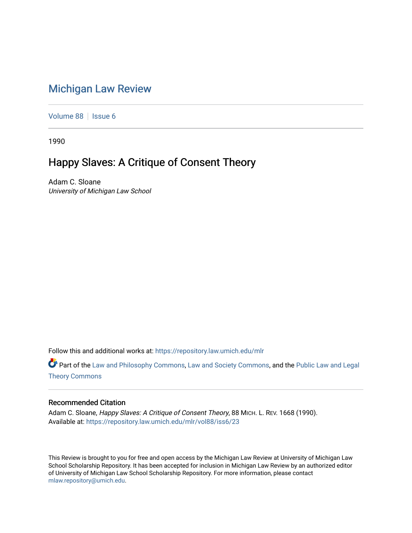## [Michigan Law Review](https://repository.law.umich.edu/mlr)

[Volume 88](https://repository.law.umich.edu/mlr/vol88) | [Issue 6](https://repository.law.umich.edu/mlr/vol88/iss6)

1990

# Happy Slaves: A Critique of Consent Theory

Adam C. Sloane University of Michigan Law School

Follow this and additional works at: [https://repository.law.umich.edu/mlr](https://repository.law.umich.edu/mlr?utm_source=repository.law.umich.edu%2Fmlr%2Fvol88%2Fiss6%2F23&utm_medium=PDF&utm_campaign=PDFCoverPages) 

Part of the [Law and Philosophy Commons,](http://network.bepress.com/hgg/discipline/1299?utm_source=repository.law.umich.edu%2Fmlr%2Fvol88%2Fiss6%2F23&utm_medium=PDF&utm_campaign=PDFCoverPages) [Law and Society Commons](http://network.bepress.com/hgg/discipline/853?utm_source=repository.law.umich.edu%2Fmlr%2Fvol88%2Fiss6%2F23&utm_medium=PDF&utm_campaign=PDFCoverPages), and the [Public Law and Legal](http://network.bepress.com/hgg/discipline/871?utm_source=repository.law.umich.edu%2Fmlr%2Fvol88%2Fiss6%2F23&utm_medium=PDF&utm_campaign=PDFCoverPages) [Theory Commons](http://network.bepress.com/hgg/discipline/871?utm_source=repository.law.umich.edu%2Fmlr%2Fvol88%2Fiss6%2F23&utm_medium=PDF&utm_campaign=PDFCoverPages)

### Recommended Citation

Adam C. Sloane, Happy Slaves: A Critique of Consent Theory, 88 MICH. L. REV. 1668 (1990). Available at: [https://repository.law.umich.edu/mlr/vol88/iss6/23](https://repository.law.umich.edu/mlr/vol88/iss6/23?utm_source=repository.law.umich.edu%2Fmlr%2Fvol88%2Fiss6%2F23&utm_medium=PDF&utm_campaign=PDFCoverPages) 

This Review is brought to you for free and open access by the Michigan Law Review at University of Michigan Law School Scholarship Repository. It has been accepted for inclusion in Michigan Law Review by an authorized editor of University of Michigan Law School Scholarship Repository. For more information, please contact [mlaw.repository@umich.edu.](mailto:mlaw.repository@umich.edu)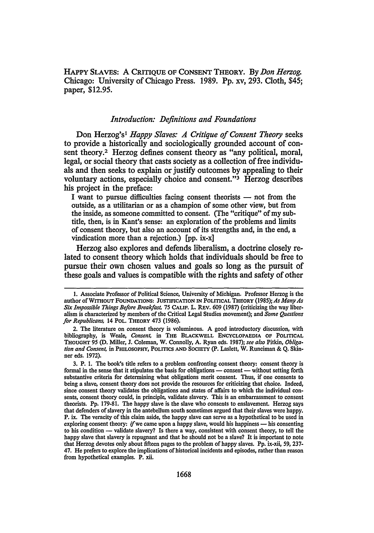HAPPY SLAVES: A CRITIQUE OF CONSENT THEORY. By *Don Herzog.*  Chicago: University of Chicago Press. 1989. Pp. xv, 293. Cloth, \$45; paper, \$12.95.

#### *Introduction: Definitions and Foundations*

Don Herzog's1 *Happy Slaves: A Critique of Consent Theory* seeks to provide a historically and sociologically grounded account of consent theory.2 Herzog defines consent theory as "any political, moral, legal, or social theory that casts society as a collection of free individuals and then seeks to explain or justify outcomes by appealing to their voluntary actions, especially choice and consent."3 Herzog describes his project in the preface:

I want to pursue difficulties facing consent theorists  $-$  not from the outside, as a utilitarian or as a champion of some other view, but from the inside, as someone committed to consent. (The "critique" of my subtitle, then, is in Kant's sense: an exploration of the problems and limits of consent theory, but also an account of its strengths and, in the end, a vindication more than a rejection.) [pp. ix-x]

Herzog also explores and defends liberalism, a doctrine closely related to consent theory which holds that individuals should be free to pursue their own chosen values and goals so long as the pursuit of these goals and values is compatible with the rights and safety of other

<sup>1.</sup> Associate Professor of Political Science, University of Michigan. Professor Herzog is the author of WITHOUT FOUNDATIONS: JUSTIFICATION IN POLITICAL THEORY (1985); *As Many As Six Impossible Things Before Breakfast, 15* CALIF. L. REV. 609 (1987) (criticizing the way liberalism is characterized by members of the Critical Legal Studies movement); and *Some Questions fer Republicans,* 14 POL. THEORY 473 (1986).

<sup>2.</sup> The literature on consent theory is voluminous. A good introductory discussion, with bibliography, is Weale, *Consent,* in THE BLACKWELL ENCYCLOPAEDIA OF POLITICAL THOUGHT 95 (D. Miller, J. Coleman, W. Connolly, A. Ryan eds. 1987); *see also* Pitkin, *Obligation and Consent,* in PHILOSOPHY, POLITICS AND SOCIETY (P. Laslett, w. Runciman & Q. Skinner eds. 1972).

<sup>3.</sup> P. 1. The book's title refers to a problem confronting consent theory: consent theory is formal in the sense that it stipulates the basis for obligations — consent — without setting forth substantive criteria for determining what obligations merit consent. Thus, if one consents to being a slave, consent theory does not provide the resources for criticizing that choice. Indeed, since consent theory validates the obligations and states of affairs to which the individual consents, consent theory could, in principle, validate slavery. This is an embarrassment to consent theorists. Pp. 179-81. The happy slave is the slave who consents to enslavement. Herzog says that defenders of slavery in the antebellum south sometimes argued that their slaves were happy. P. ix. The veracity of this claim aside, the happy slave can serve as a hypothetical to be used in exploring consent theory: if we came upon a happy slave, would his happiness  $-$  his consenting to his condition - validate slavery? Is there a way, consistent with consent theory, to tell the happy slave that slavery is repugnant and that he should not be a slave? It is important to note that Herzog devotes only about fifteen pages to the problem of happy slaves. Pp. ix-xii, 59, 237- 47. He prefers to explore the implications of historical incidents and episodes, rather than reason from hypothetical examples. P. xii.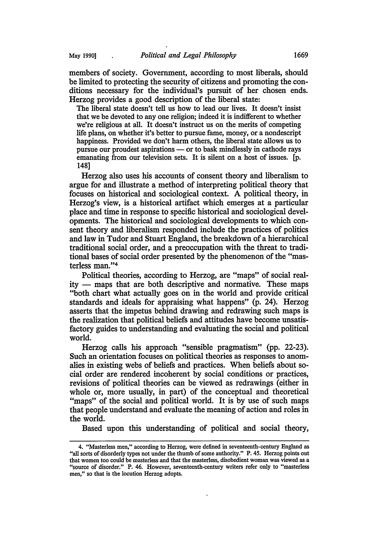members of society. Government, according to most liberals, should be limited to protecting the security of citizens and promoting the conditions necessary for the individual's pursuit of her chosen ends. Herzog provides a good description of the liberal state:

The liberal state doesn't tell us how to lead our lives. It doesn't insist that we be devoted to any one religion; indeed it is indifferent to whether we're religious at all. It doesn't instruct us on the merits of competing life plans, on whether it's better to pursue fame, money, or a nondescript happiness. Provided we don't harm others, the liberal state allows us to pursue our proudest aspirations - or to bask mindlessly in cathode rays emanating from our television sets. It is silent on a host of issues. [p. 148]

Herzog also uses his accounts of consent theory and liberalism to argue for and illustrate a method of interpreting political theory that focuses on historical and sociological context. A political theory, in Herzog's view, is a historical artifact which emerges at a particular place and time in response to specific historical and sociological developments. The historical and sociological developments to which consent theory and liberalism responded include the practices of politics and law in Tudor and Stuart England, the breakdown of a hierarchical traditional social order, and a preoccupation with the threat to traditional bases of social order presented by the phenomenon of the "masterless man."<sup>4</sup>

Political theories, according to Herzog, are "maps" of social real $ity$  - maps that are both descriptive and normative. These maps "both chart what actually goes on in the world and provide critical standards and ideals for appraising what happens" {p. 24). Herzog asserts that the impetus behind drawing and redrawing such maps is the realization that political beliefs and attitudes have become unsatisfactory guides to understanding and evaluating the social and political world.

Herzog calls his approach "sensible pragmatism" {pp. 22-23). Such an orientation focuses on political theories as responses to anomalies in existing webs of beliefs and practices. When beliefs about social order are rendered incoherent by social conditions or practices, revisions of political theories can be viewed as redrawings (either in whole or, more usually, in part) of the conceptual and theoretical "maps" of the social and political world. It is by use of such maps that people understand and evaluate the meaning of action and roles in the world.

Based upon this understanding of political and social theory,

<sup>4. &</sup>quot;Masterless men," according to Herzog, were defined in seventeenth-century England as "all sorts of disorderly types not under the thumb of some authority." P. 45. Herzog points out that women too could be masterless and that the masterless, disobedient woman was viewed as a "source of disorder." P. 46. However, seventeenth-century writers refer only to "masterless men," so that is the locution Herzog adopts.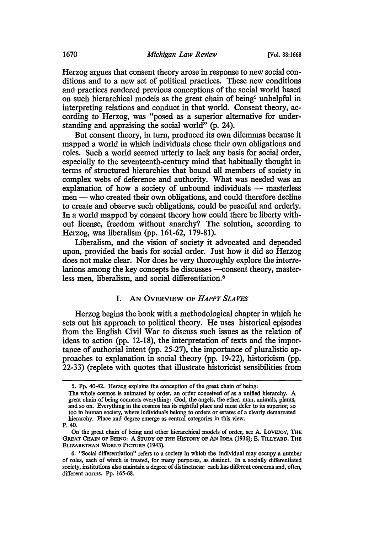Herzog argues that consent theory arose in response to new social conditions and to a new set of political practices. These new conditions and practices rendered previous conceptions of the social world based on such hierarchical models as the great chain of being<sup>5</sup> unhelpful in interpreting relations and conduct in that world. Consent theory, according to Herzog, was "posed as a superior alternative for understanding and appraising the social world" (p. 24).

But consent theory, in turn, produced its own dilemmas because it mapped a world in which individuals chose their own obligations and roles. Such a world seemed utterly to lack any basis for social order, especially to the seventeenth-century mind that habitually thought in terms of structured hierarchies that bound all members of society in complex webs of deference and authority. What was needed was an explanation of how a society of unbound individuals  $-$  masterless men — who created their own obligations, and could therefore decline to create and observe such obligations, could be peaceful and orderly. In a world mapped by consent theory how could there be liberty without license, freedom without anarchy? The solution, according to Herzog, was liberalism (pp. 161-62, 179-81).

Liberalism, and the vision of society it advocated and depended upon, provided the basis for social order. Just how it did so Herzog does not make clear. Nor does he very thoroughly explore the interrelations among the key concepts he discusses --- consent theory, masterless men, liberalism, and social differentiation. <sup>6</sup>

#### I. AN OVERVIEW OF *HAPPY SLAVES*

Herzog begins the book with a methodological chapter in which he sets out his approach to political theory. He uses historical episodes from the English Civil War to discuss such issues as the relation of ideas to action (pp. 12-18), the interpretation of texts and the importance of authorial intent (pp. 25-27), the importance of pluralistic approaches to explanation in social theory (pp. 19-22), historicism (pp. 22-33) (replete with quotes that illustrate historicist sensibilities from

<sup>5.</sup> Pp. 40-42. Herzog explains the conception of the great chain of being:

The whole cosmos is animated by order, an order conceived of as a unified hierarchy. A great chain of being connects everything: God, the angels, the ether, man, animals, plants, and so on. Everything in the cosmos has its rightful place and must defer to its superior; so too in human society, where individuals belong to orders or estates of a clearly demarcated hierarchy. Place and degree emerge as central categories in this view.

P. 40.

On the great chain of being and other hierarchical models of order, see A. LOVEJOY, THE GREAT CHAIN OF BEING: A STUDY OF THB HISTORY OF AN IDEA (1936); E. TILLYARD, THE ELIZABETHAN WORLD PICTURE (1943).

<sup>6. &</sup>quot;Social differentiation" refers to a society in which the individual may occupy a number of roles, each of which is treated, for many purposes, as distinct. In a socially differentiated society, institutions also maintain a degree of distinctness: each has different concerns and, often, different norms. Pp. 165-68.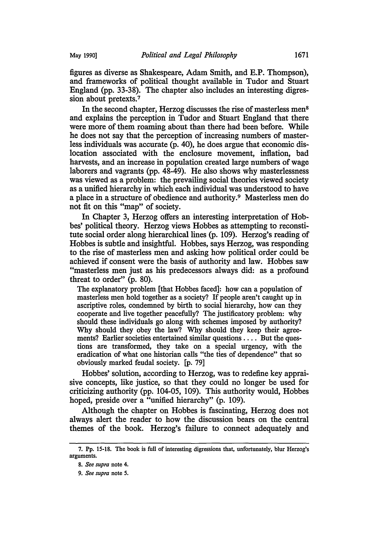figures as diverse as Shakespeare, Adam Smith, and E.P. Thompson), and frameworks of political thought available in Tudor and Stuart England (pp. 33-38). The chapter also includes an interesting digression about pretexts.<sup>7</sup>

In the second chapter, Herzog discusses the rise of masterless men<sup>8</sup> and explains the perception in Tudor and Stuart England that there were more of them roaming about than there had been before. While he does not say that the perception of increasing numbers of masterless individuals was accurate (p. 40), he does argue that economic dislocation associated with the enclosure movement, inflation, bad harvests, and an increase in population created large numbers of wage laborers and vagrants (pp. 48-49). He also shows why masterlessness was viewed as a problem: the prevailing social theories viewed society as a unified hierarchy in which each individual was understood to have a place in a structure of obedience and authority.9 Masterless men do not fit on this "map" of society.

In Chapter 3, Herzog offers an interesting interpretation of Hobbes' political theory. Herzog views Hobbes as attempting to reconstitute social order along hierarchical lines (p. 109). Herzog's reading of Hobbes is subtle and insightful. Hobbes, says Herzog, was responding to the rise of masterless men and asking how political order could be achieved if consent were the basis of authority and law. Hobbes saw "masterless men just as his predecessors always did: as a profound threat to order" (p. 80).

The explanatory problem [that Hobbes faced]: how can a population of masterless men hold together as a society? If people aren't caught up in ascriptive roles, condemned by birth to social hierarchy, how can they cooperate and live together peacefully? The justificatory problem: why should these individuals go along with schemes imposed by authority? Why should they obey the law? Why should they keep their agreements? Earlier societies entertained similar questions . . . . But the questions are transformed, they take on a special urgency, with the eradication of what one historian calls "the ties of dependence" that so obviously marked feudal society. [p. 79]

Hobbes' solution, according to Herzog, was to redefine key appraisive concepts, like justice, so that they could no longer be used for criticizing authority (pp. 104-05, 109). This authority would, Hobbes hoped, preside over a "unified hierarchy" (p. 109).

Although the chapter on Hobbes is fascinating, Herzog does not always alert the reader to how the discussion bears on the central themes of the book. Herzog's failure to connect adequately and

<sup>7.</sup> Pp. 15-18. The book is full of interesting digressions that, unfortunately, blur Herzog's arguments.

<sup>8.</sup> *See supra* note 4.

<sup>9.</sup> *See supra* note S.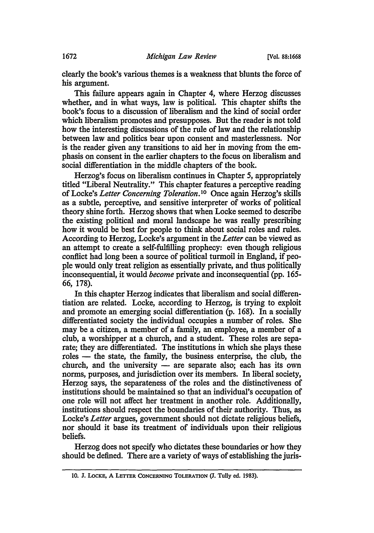clearly the book's various themes is a weakness that blunts the force of his argument.

This failure appears again in Chapter 4, where Herzog discusses whether, and in what ways, law is political. This chapter shifts the book's focus to a discussion of liberalism and the kind of social order which liberalism promotes and presupposes. But the reader is not told how the interesting discussions of the rule of law and the relationship between law and politics bear upon consent and masterlessness. Nor is the reader given any transitions to aid her in moving from the emphasis on consent in the earlier chapters to the focus on liberalism and social differentiation in the middle chapters of the book.

Herzog's focus on liberalism continues in Chapter 5, appropriately titled "Liberal Neutrality." This chapter features a perceptive reading of Locke's Letter Concerning Toleration.<sup>10</sup> Once again Herzog's skills as a subtle, perceptive, and sensitive interpreter of works of political theory shine forth. Herzog shows that when Locke seemed to describe the existing political and moral landscape he was really prescribing how it would be best for people to think about social roles and rules. According to Herzog, Locke's argument in the *Letter* can be viewed as an attempt to create a self-fulfilling prophecy: even though religious conflict had long been a source of political turmoil in England, if people would only treat religion as essentially private, and thus politically inconsequential, it would *become* private and inconsequential (pp. 165- 66, 178).

In this chapter Herzog indicates that liberalism and social differentiation are related. Locke, according to Herzog, is trying to exploit and promote an emerging social differentiation (p. 168). In a socially differentiated society the individual occupies a number of roles. She may be a citizen, a member of a family, an employee, a member of a club, a worshipper at a church, and a student. These roles are separate; they are differentiated. The institutions in which she plays these roles - the state, the family, the business enterprise, the club, the church, and the university  $-$  are separate also; each has its own norms, purposes, and jurisdiction over its members. In liberal society, Herzog says, the separateness of the roles and the distinctiveness of institutions should be maintained so that an individual's occupation of one role will not affect her treatment in another role. Additionally, institutions should respect the boundaries of their authority. Thus, as Locke's *Letter* argues, government should not dictate religious beliefs, nor should it base its treatment of individuals upon their religious beliefs.

Herzog does not specify who dictates these boundaries or how they should be defined. There are a variety of ways of establishing the juris-

<sup>10.</sup> J. LoCKE, A LETIER CoNCERNING TOLERATION (J. Tully ed. 1983).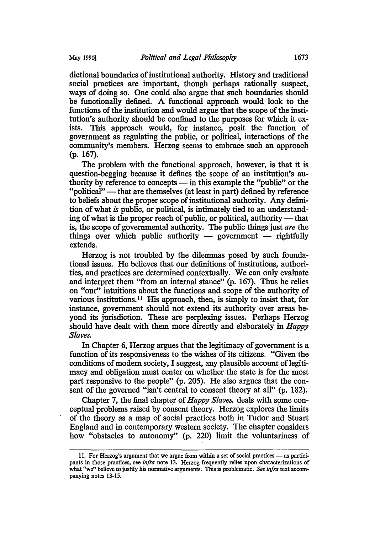dictional boundaries of institutional authority. History and traditional social practices are important, though perhaps rationally suspect, ways of doing so. One could also argue that such boundaries should be functionally defined. A functional approach would look to the functions of the institution and would argue that the scope of the institution's authority should be confined to the purposes for which it exists. This approach would, for instance, posit the function of government as regulating the public, or political, interactions of the community's members. Herzog seems to embrace such an approach (p. 167).

The problem with the functional approach, however, is that it is question-begging because it defines the scope of an institution's authority by reference to concepts  $-$  in this example the "public" or the "political" — that are themselves (at least in part) defined by reference to beliefs about the proper scope of institutional authority. Any definition of what *is* public, or political, is intimately tied to an understanding of what is the proper reach of public, or political, authority  $-$  that is, the scope of governmental authority. The public things just *are* the things over which public authority  $-$  government  $-$  rightfully extends.

Herzog is not troubled by the dilemmas posed by such foundational issues. He believes that our definitions of institutions, authorities, and practices are determined contextually. We can only evaluate and interpret them "from an internal stance" (p. 167). Thus he relies on "our" intuitions about the functions and scope of the authority of various institutions.<sup>11</sup> His approach, then, is simply to insist that, for instance, government should not extend its authority over areas beyond its jurisdiction. These are perplexing issues. Perhaps Herzog should have dealt with them more directly and elaborately in *Happy Slaves.* 

In Chapter 6, Herzog argues that the legitimacy of government is a function of its responsiveness to the wishes of its citizens. "Given the conditions of modern society, I suggest, any plausible account of legitimacy and obligation must center on whether the state is for the most part responsive to the people" (p. 205). He also argues that the consent of the governed "isn't central to consent theory at all" (p. 182).

Chapter 7, the final chapter of *Happy Slaves*, deals with some conceptual problems raised by consent theory. Herzog explores the limits of the theory as a map of social practices both in Tudor and Stuart England and in contemporary western society. The chapter considers how "obstacles to autonomy" (p. 220) limit the voluntariness of

<sup>11.</sup> For Herzog's argument that we argue from within a set of social practices - as participants in those practices, see *infra* note 13. Herzog frequently relies upon characterizations of what "we" believe to justify his normative arguments. This is problematic. *See infra* text accompanying notes 13-15.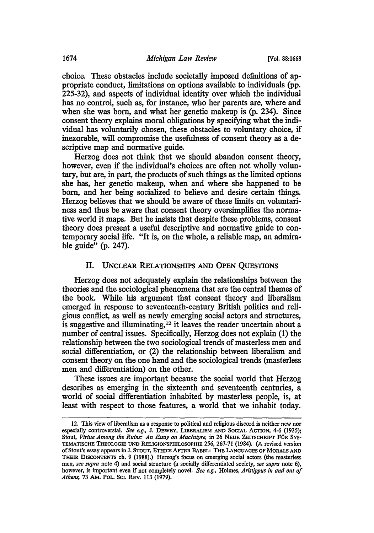choice. These obstacles include societally imposed definitions of appropriate conduct, limitations on options available to individuals (pp. 225-32), and aspects of individual identity over which the individual has no control, such as, for instance, who her parents are, where and when she was born, and what her genetic makeup is (p. 234). Since consent theory explains moral obligations by specifying what the individual has voluntarily chosen, these obstacles to voluntary choice, if inexorable, will compromise the usefulness of consent theory as a descriptive map and normative guide.

Herzog does not think that we should abandon consent theory, however, even if the individual's choices are often not wholly voluntary, but are, in part, the products of such things as the limited options she has, her genetic makeup, when and where she happened to be born, and her being socialized to believe and desire certain things. Herzog believes that we should be aware of these limits on voluntariness and thus be aware that consent theory oversimplifies the normative world it maps. But he insists that despite these problems, consent theory does present a useful descriptive and normative guide to contemporary social life. "It is, on the whole, a reliable map, an admirable guide" (p. 247).

#### JI. UNCLEAR RELATIONSHIPS AND OPEN QUESTIONS

Herzog does not adequately explain the relationships between the theories and the sociological phenomena that are the central themes of the book. While his argument that consent theory and liberalism emerged in response to seventeenth-century British politics and religious conflict, as well as newly emerging social actors and structures, is suggestive and illuminating, 12 it leaves the reader uncertain about a number of central issues. Specifically, Herzog does not explain (1) the relationship between the two sociological trends of masterless men and social differentiation, or (2) the relationship between liberalism and consent theory on the one hand and the sociological trends (masterless men and differentiation) on the other.

These issues are important because the social world that Herzog describes as emerging in the sixteenth and seventeenth centuries, a world of social differentiation inhabited by masterless people, is, at least with respect to those features, a world that we inhabit today.

<sup>12.</sup> This view of liberalism as a response to political and religious discord is neither new nor especially controversial. *See e.g.,* J. DEWEY, LIBERALISM AND SOCIAL ACTION, 4-6 (1935); Stout, *Virtue Among the Ruins: An Essay on Macintyre,* in 26 NEUE ZEITSCHRIFT FOR SYs-TEMATISCHE THEOLOGIE UND RELIGIONSPHILOSOPHIE 256, 267-71 (1984). (A revised version of Stout's essay appears in J. STOUT, ETHICS AFTER BABEL: THE LANGUAGES OF MORALS AND THEIR DISCONTENTS ch. 9 (1988).) Herzog's focus on emerging social actors (the masterless men, *see supra* note 4) and social structure (a socially differentiated society, *see supra* note 6), however, is important even if not completely novel. *See e.g.,* Holmes, *Aristippus in and out of Athens, 13* AM. POL. SCI. REV. 113 (1979).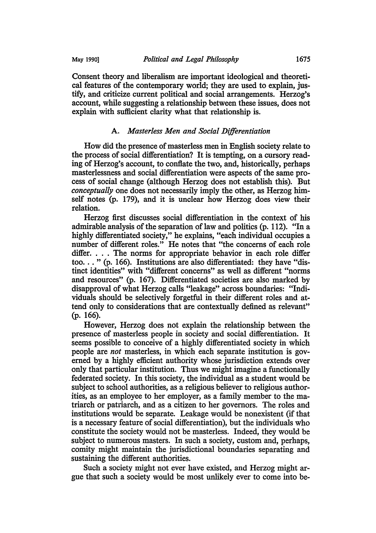Consent theory and liberalism are important ideological and theoretical features of the contemporary world; they are used to explain, justify, and criticize current political and social arrangements. Herzog's account, while suggesting a relationship between these issues, does not explain with sufficient clarity what that relationship is.

#### A. *Masterless Men and Social Differentiation*

How did the presence of masterless men in English society relate to the process of social differentiation? It is tempting, on a cursory reading of Herzog's account, to conflate the two, and, historically, perhaps masterlessness and social differentiation were aspects of the same process of social change (although Herzog does not establish this). But *conceptually* one does not necessarily imply the other, as Herzog himself notes (p. 179), and it is unclear how Herzog does view their relation.

Herzog first discusses social differentiation in the context of his admirable analysis of the separation of law and politics (p. 112). "In a highly differentiated society," he explains, "each individual occupies a number of different roles." He notes that "the concerns of each role differ. . . . The norms for appropriate behavior in each role differ too..." (p. 166). Institutions are also differentiated: they have "distinct identities" with "different concerns" as well as different "norms and resources" (p. 167). Differentiated societies are also marked by disapproval of what Herzog calls "leakage" across boundaries: "Individuals should be selectively forgetful in their different roles and attend only to considerations that are contextually defined as relevant" (p. 166).

However, Herzog does not explain the relationship between the presence of masterless people in society and social differentiation. It seems possible to conceive of a highly differentiated society in which people are *not* masterless, in which each separate institution is governed by a highly efficient authority whose jurisdiction extends over only that particular institution. Thus we might imagine a functionally federated society. In this society, the individual as a student would be subject to school authorities, as a religious believer to religious authorities, as an employee to her employer, as a family member to the matriarch or patriarch, and as a citizen to her governors. The roles and institutions would be separate. Leakage would be nonexistent (if that is a necessary feature of social differentiation), but the individuals who constitute the society would not be masterless. Indeed; they would be subject to numerous masters. In such a society, custom and, perhaps, comity might maintain the jurisdictional boundaries separating and sustaining the different authorities.

Such a society might not ever have existed, and Herzog might argue that such a society would be most unlikely ever to come into be-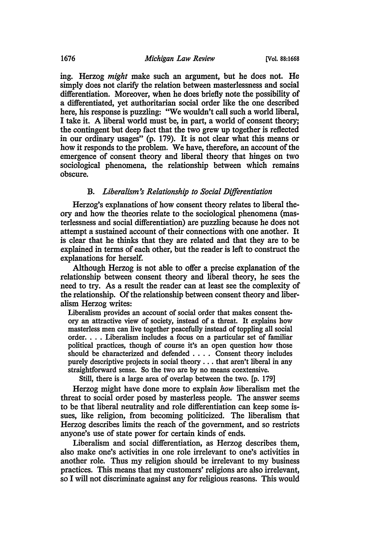ing. Herzog *might* make such an argument, but he does not. He simply does not clarify the relation between masterlessness and social differentiation. Moreover, when he does briefly note the possibility of a differentiated, yet authoritarian social order like the one described here, his response is puzzling: "We wouldn't call such a world liberal, I take it. A liberal world must be, in part, a world of consent theory; the contingent but deep fact that the two grew up together is reflected in our ordinary usages" (p. 179). It is not clear what this means or how it responds to the problem. We have, therefore, an account of the emergence of consent theory and liberal theory that hinges on two sociological phenomena, the relationship between which remains obscure.

#### B. *Liberalism's Relationship to Social Differentiation*

Herzog's explanations of how consent theory relates to liberal theory and how the theories relate to the sociological phenomena (masterlessness and social differentiation) are puzzling because he does not attempt a sustained account of their connections with one another. It is clear that he thinks that they are related and that they are to be explained in terms of each other, but the reader is left to construct the explanations for herself.

Although Herzog is not able to offer a precise explanation of the relationship between consent theory and liberal theory, he sees the need to try. As a result the reader can at least see the complexity of the relationship. Of the relationship between consent theory and liberalism Herzog writes:

Liberalism provides an account of social order that makes consent theory an attractive view of society, instead of a threat. It explains how masterless men can live together peacefully instead of toppling all social order. . . . Liberalism includes a focus on a particular set of familiar political practices, though of course it's an open question how those should be characterized and defended . . . . Consent theory includes purely descriptive projects in social theory . . . that aren't liberal in any straightforward sense. So the two are by no means coextensive.

Still, there is a large area of overlap between the two. [p. 179]

Herzog might have done more to explain *how* liberalism met the threat to social order posed by masterless people. The answer seems to be that liberal neutrality and role differentiation can keep some issues, like religion, from becoming politicized. The liberalism that Herzog describes limits the reach of the government, and so restricts anyone's use of state power for certain kinds of ends.

Liberalism and social differentiation, as Herzog describes them, also make one's activities in one role irrelevant to one's activities in another role. Thus my religion should be irrelevant to my business practices. This means that my customers' religions are also irrelevant, so I will not discriminate against any for religious reasons. This would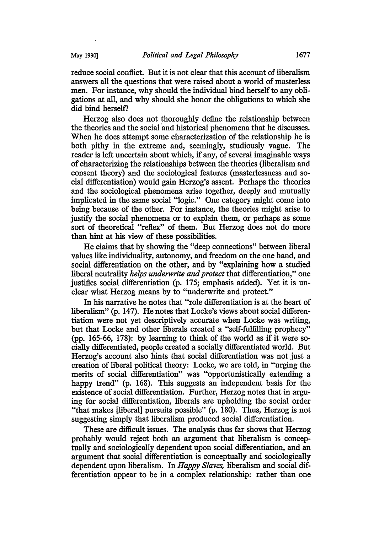reduce social conflict. But it is not clear that this account of liberalism answers all the questions that were raised about a world of masterless men. For instance, why should the individual bind herself to any obligations at all, and why should she honor the obligations to which she did bind herself?

Herzog also does not thoroughly define the relationship between the theories and the social and historical phenomena that he discusses. When he does attempt some characterization of the relationship he is both pithy in the extreme and, seemingly, studiously vague. The reader is left uncertain about which, if any, of several imaginable ways of characterizing the relationships between the theories (liberalism and consent theory) and the sociological features (masterlessness and social differentiation) would gain Herzog's assent. Perhaps the theories and the sociological phenomena arise together, deeply and mutually implicated in the same social "logic." One category might come into being because of the other. For instance, the theories might arise to justify the social phenomena or to explain them, or perhaps as some sort of theoretical "reflex" of them. But Herzog does not do more than hint at his view of these possibilities.

He claims that by showing the "deep connections" between liberal values like individuality, autonomy, and freedom on the one hand, and social differentiation on the other, and by "explaining how a studied liberal neutrality *helps underwrite and protect* that differentiation," one justifies social differentiation (p. 175; emphasis added). Yet it is unclear what Herzog means by to "underwrite and protect."

In his narrative he notes that "role differentiation is at the heart of liberalism" (p. 147). He notes that Locke's views about social differentiation were not yet descriptively accurate when Locke was writing, but that Locke and other liberals created a "self-fulfilling prophecy" (pp. 165-66, 178): by learning to think of the world as if it were socially differentiated, people created a socially differentiated world. But Herzog's account also hints that social differentiation was not just a creation of liberal political theory: Locke, we are told, in "urging the merits of social differentiation" was "opportunistically extending a happy trend" (p. 168). This suggests an independent basis for the existence of social differentiation. Further, Herzog notes that in arguing for social differentiation, liberals are upholding the social order "that makes [liberal] pursuits possible" (p. 180). Thus, Herzog is not suggesting simply that liberalism produced social differentiation.

These are difficult issues. The analysis thus far shows that Herzog probably would reject both an argument that liberalism is conceptually and sociologically dependent upon social differentiation, and an argument that social differentiation is conceptually and sociologically dependent upon liberalism. In *Happy Slaves,* liberalism and social differentiation appear to be in a complex relationship: rather than one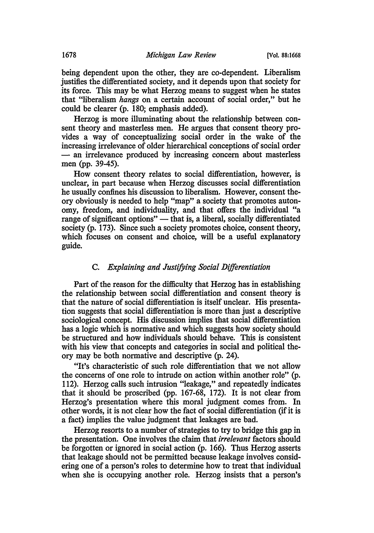being dependent upon the other, they are co-dependent. Liberalism justifies the differentiated society, and it depends upon that society for its force. This may be what Herzog means to suggest when he states that "liberalism *hangs* on a certain account of social order," but he could be clearer (p. 180; emphasis added).

Herzog is more illuminating about the relationship between consent theory and masterless men. He argues that consent theory provides a way of conceptualizing social order in the wake of the increasing irrelevance of older hierarchical conceptions of social order - an irrelevance produced by increasing concern about masterless men (pp. 39-45).

How consent theory relates to social differentiation, however, is unclear, in part because when Herzog discusses social differentiation he usually confines his discussion to liberalism. However, consent theory obviously is needed to help "map" a society that promotes autonomy, freedom, and individuality, and that offers the individual "a range of significant options" - that is, a liberal, socially differentiated society (p. 173). Since such a society promotes choice, consent theory, which focuses on consent and choice, will be a useful explanatory guide.

#### C. *Explaining and Justifying Social Differentiation*

Part of the reason for the difficulty that Herzog has in establishing the relationship between social differentiation and consent theory is that the nature of social differentiation is itself unclear. His presentation suggests that social differentiation is more than just a descriptive sociological concept. His discussion implies that social differentiation has a logic which is normative and which suggests how society should be structured and how individuals should behave. This is consistent with his view that concepts and categories in social and political theory may be both normative and descriptive (p. 24).

"It's characteristic of such role differentiation that we not allow the concerns of one role to intrude on action within another role" (p. 112). Herzog calls such intrusion "leakage," and repeatedly indicates that it should be proscribed (pp. 167-68, 172). It is not clear from Herzog's presentation where this moral judgment comes from. In other words, it is not clear how the fact of social differentiation (if it is a fact) implies the value judgment that leakages are bad.

Herzog resorts to a number of strategies to try to bridge this gap in the presentation. One involves the claim that *irrelevant* factors should be forgotten or ignored in social action (p. 166). Thus Herzog asserts that leakage should not be permitted because leakage involves considering one of a person's roles to determine how to treat that individual when she is occupying another role. Herzog insists that a person's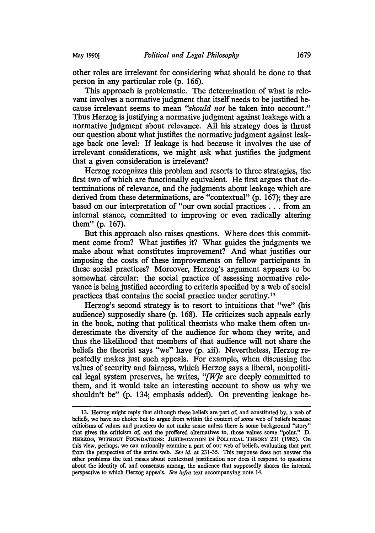other roles are irrelevant for considering what should be done to that person in any particular role (p. 166).

This approach is problematic. The determination of what is relevant involves a normative judgment that itself needs to be justified because irrelevant seems to mean *"should not* be taken into account." Thus Herzog is justifying a normative judgment against leakage with a normative judgment about relevance. All his strategy does is thrust our question about what justifies the normative judgment against leakage back one level: If leakage is bad because it involves the use of irrelevant considerations, we might ask what justifies the judgment that a given consideration is irrelevant?

Herzog recognizes this problem and resorts to three strategies, the first two of which are functionally equivalent. He first argues that determinations of relevance, and the judgments about leakage which are derived from these determinations, are "contextual" (p. 167); they are based on our interpretation of "our own social practices ... from an internal stance, committed to improving or even radically altering them" (p. 167).

But this approach also raises questions. Where does this commitment come from? What justifies it? What guides the judgments we make about what constitutes improvement? And what justifies our imposing the costs of these improvements on fellow participants in these social practices? Moreover, Herzog's argument appears to be somewhat circular: the social practice of assessing normative relevance is being justified according to criteria specified by a web of social practices that contains the social practice under scrutiny. <sup>13</sup>

Herzog's second strategy is to resort to intuitions that "we" (his audience) supposedly share (p. 168). He criticizes such appeals early in the book, noting that political theorists who make them often underestimate the diversity of the audience for whom they write, and thus the likelihood that members of that audience will not share the beliefs the theorist says "we" have (p. xii). Nevertheless, Herzog repeatedly makes just such appeals. For example, when discussing the values of security and fairness, which Herzog says a liberal, nonpolitical legal system preserves, he writes, *"[W]e* are deeply committed to them, and it would take an interesting account to show us why we shouldn't be" (p. 134; emphasis added). On preventing leakage be-

<sup>13.</sup> Herzog might reply that although these beliefs are part of, and constituted by, a web of beliefs, we have no choice but to argue from within the context of *some* web of beliefs because criticisms of values and practices do not make sense unless there is some background "story" that gives the criticism of, and the proffered alternatives to, those values some "point." D. HERZOG, WITHOUT FOUNDATIONS: JUSTIFICATION IN POLITICAL THEORY 231 (1985). On this view, perhaps, we can rationally examine a part of our web of beliefs, evaluating that part from the perspective of the entire web. *See id.* at 231-35. This response does not answer the other problems the text raises about contextual justification nor does it respond to questions about the identity of, and consensus among, the audience that supposedly shares the internal perspective to which Herzog appeals. *See infra* text accompanying note 14.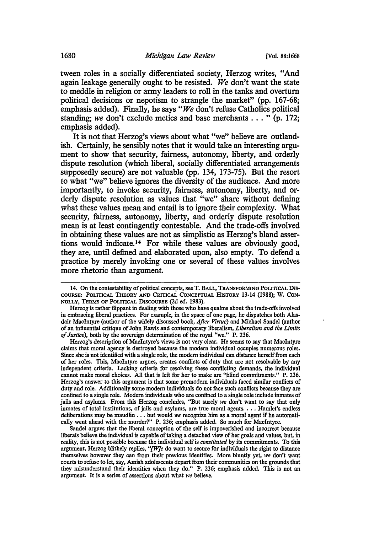tween roles in a socially differentiated society, Herzog writes, "And again leakage generally ought to be resisted. *We* don't want the state to meddle in religion or army leaders to roll in the tanks and overturn political decisions or nepotism to strangle the market" (pp. 167-68; emphasis added). Finally, he says *"We* don't refuse Catholics political standing; *we* don't exclude metics and base merchants . . . " (p. 172; emphasis added).

It is not that Herzog's views about what "we" believe are outlandish. Certainly, he sensibly notes that it would take an interesting argument to show that security, fairness, autonomy, liberty, and orderly dispute resolution (which liberal, socially differentiated arrangements supposedly secure) are not valuable (pp. 134, 173-75). But the resort to what "we" believe ignores the diversity of the audience. And more importantly, to invoke security, fairness, autonomy, liberty, and orderly dispute resolution as values that "we" share without defining what these values mean and entail is to ignore their complexity. What security, fairness, autonomy, liberty, and orderly dispute resolution mean is at least contingently contestable. And the trade-offs involved in obtaining these values are not as simplistic as Herzog's bland assertions would indicate. I4 For while these values are obviously good, they are, until defined and elaborated upon, also empty. To defend a practice by merely invoking one or several of these values involves more rhetoric than argument.

Herzog's description of Maclntyre's views is not very clear. He seems to say that Macintyre claims that moral agency is destroyed because the modern individual occupies numerous roles. Since she is not identified with a single role, the modern individual can distance herself from each of her roles. This, Macintyre argues, creates conflicts of duty that are not resolvable by any independent criteria. Lacking criteria for resolving these conflicting demands, the individual cannot make moral choices. All that is left for her to make are "blind commitments." P. 236. Herzog's answer to this argument is that some premodern individuals faced similar conflicts of duty and role. Additionally some modern individuals do not face such conflicts because they are confined to a single role. Modern individuals who are confined to a single role include inmates of jails and asylums. From this Herzog concludes, "But surely *we* don't want to say that only inmates of total institutions, of jails and asylums, are true moral agents. . . . Hamlet's endless deliberations may be maudlin •.. but would *we* recognize him as a moral agent if he automatically went ahead with the murder?" P. 236; emphasis added. So much for Macintyre.

Sandel argues that the liberal conception of the self is impoverished and incorrect because liberals believe the individual is capable of taking a detached view of her goals and values, but, in reality, this is not possible because the individual self is *constituted* by its commitments. To this argument, Herzog blithely replies, *"[W]e* do want to secure for individuals the right to distance themselves however they can from their previous identities. More bluntly yet, *we* don't want courts to refuse to let, say, Amish adolescents depart from their communities on the grounds that they misunderstand their identities when they do." P. 236; emphasis added. This is not an argument. It is a series of assertions about what *we* believe.

<sup>14.</sup> On the contestability of political concepts, see T. BALL, TRANSFORMING POLITICAL DIS-COURSE: POLITICAL THEORY AND CRITICAL CONCEPTUAL HISTORY 13-14 (1988); W. CON-NOLLY, TERMS OF POLITICAL DISCOURSE (2d ed. 1983).

Herzog is rather flippant in dealing with those who have qualms about the trade-offs involved in embracing liberal practices. For example, in the space of one page, he dispatches both Alasdair Macintyre (author of the widely discussed book, *After Virtue)* and Michael Sandel (author of an influential critique of John Rawls and contemporary liberalism, *Liberalism and the Limits of Justice),* both by the sovereign determination of the royal "we." P. 236.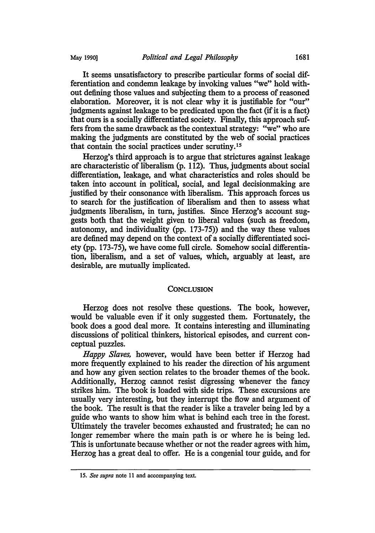It seems unsatisfactory to prescribe particular forms of social differentiation and condemn leakage by invoking values "we" hold without defining those values and subjecting them to a process of reasoned elaboration. Moreover, it is not clear why it is justifiable for "our" judgments against leakage to be predicated upon the fact (if it is a fact) that ours is a socially differentiated society. Finally, this approach suffers from the same drawback as the contextual strategy: "we" who are making the judgments are constituted by the web of social practices that contain the social practices under scrutiny. <sup>15</sup>

Herzog's third approach is to argue that strictures against leakage are characteristic of liberalism (p. 112). Thus, judgments about social differentiation, leakage, and what characteristics and roles should be taken into account in political, social, and legal decisionmaking are justified by their consonance with liberalism. This approach forces us to search for the justification of liberalism and then to assess what judgments liberalism, in turn, justifies. Since Herzog's account suggests both that the weight given to liberal values (such as freedom, autonomy, and individuality (pp. 173-75)) and the way these values are defined may depend on the context of a socially differentiated society (pp. 173-75), we have come full circle. Somehow social differentiation, liberalism, and a set of values, which, arguably at least, are desirable, are mutually implicated.

#### **CONCLUSION**

Herzog does not resolve these questions. The book, however, would be valuable even if it only suggested them. Fortunately, the book does a good deal more. It contains interesting and illuminating discussions of political thinkers, historical episodes, and current conceptual puzzles.

*Happy Slaves,* however, would have been better if Herzog had more frequently explained to his reader the direction of his argument and how any given section relates to the broader themes of the book. Additionally, Herzog cannot resist digressing whenever the fancy strikes him. The book is loaded with side trips. These excursions are usually very interesting, but they interrupt the flow and argument of the book. The result is that the reader is like a traveler being led by a guide who wants to show him what is behind each tree in the forest. Ultimately the traveler becomes exhausted and frustrated; he can no longer remember where the main path is or where he is being led. This is unfortunate because whether or not the reader agrees with him, Herzog has a great deal to offer. He is a congenial tour guide, and for

<sup>15.</sup> *See supra* note 11 and accompanying text.